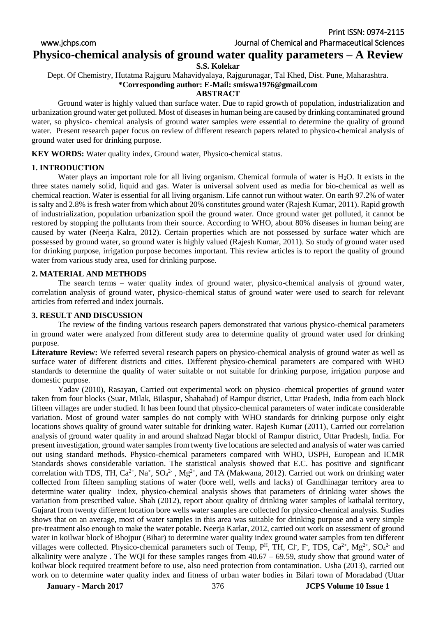Print ISSN: 0974-2115

www.jchps.com Journal of Chemical and Pharmaceutical Sciences

# **Physico-chemical analysis of ground water quality parameters – A Review**

## **S.S. Kolekar**

Dept. Of Chemistry, Hutatma Rajguru Mahavidyalaya, Rajgurunagar, Tal Khed, Dist. Pune, Maharashtra. **\*Corresponding author: E-Mail: smiswa1976@gmail.com**

# **ABSTRACT**

Ground water is highly valued than surface water. Due to rapid growth of population, industrialization and urbanization ground water get polluted. Most of diseases in human being are caused by drinking contaminated ground water, so physico- chemical analysis of ground water samples were essential to determine the quality of ground water. Present research paper focus on review of different research papers related to physico-chemical analysis of ground water used for drinking purpose.

**KEY WORDS:** Water quality index, Ground water, Physico-chemical status.

# **1. INTRODUCTION**

Water plays an important role for all living organism. Chemical formula of water is  $H_2O$ . It exists in the three states namely solid, liquid and gas. Water is universal solvent used as media for bio-chemical as well as chemical reaction. Water is essential for all living organism. Life cannot run without water. On earth 97.2% of water is salty and 2.8% is fresh water from which about 20% constitutes ground water (Rajesh Kumar, 2011). Rapid growth of industrialization, population urbanization spoil the ground water. Once ground water get polluted, it cannot be restored by stopping the pollutants from their source. According to WHO, about 80% diseases in human being are caused by water (Neerja Kalra, 2012). Certain properties which are not possessed by surface water which are possessed by ground water, so ground water is highly valued (Rajesh Kumar, 2011). So study of ground water used for drinking purpose, irrigation purpose becomes important. This review articles is to report the quality of ground water from various study area, used for drinking purpose.

## **2. MATERIAL AND METHODS**

The search terms – water quality index of ground water, physico-chemical analysis of ground water, correlation analysis of ground water, physico-chemical status of ground water were used to search for relevant articles from referred and index journals.

## **3. RESULT AND DISCUSSION**

The review of the finding various research papers demonstrated that various physico-chemical parameters in ground water were analyzed from different study area to determine quality of ground water used for drinking purpose.

**Literature Review:** We referred several research papers on physico-chemical analysis of ground water as well as surface water of different districts and cities. Different physico-chemical parameters are compared with WHO standards to determine the quality of water suitable or not suitable for drinking purpose, irrigation purpose and domestic purpose.

Yadav (2010), Rasayan, Carried out experimental work on physico–chemical properties of ground water taken from four blocks (Suar, Milak, Bilaspur, Shahabad) of Rampur district, Uttar Pradesh, India from each block fifteen villages are under studied. It has been found that physico-chemical parameters of water indicate considerable variation. Most of ground water samples do not comply with WHO standards for drinking purpose only eight locations shows quality of ground water suitable for drinking water. Rajesh Kumar (2011), Carried out correlation analysis of ground water quality in and around shahzad Nagar blockl of Rampur district, Uttar Pradesh, India. For present investigation, ground water samples from twenty five locations are selected and analysis of water was carried out using standard methods. Physico-chemical parameters compared with WHO, USPH, European and ICMR Standards shows considerable variation. The statistical analysis showed that E.C. has positive and significant correlation with TDS, TH,  $Ca^{2+}$ , Na<sup>+</sup>, SO<sub>4</sub><sup>2-</sup>, Mg<sup>2+</sup>, and TA (Makwana, 2012). Carried out work on drinking water collected from fifteen sampling stations of water (bore well, wells and lacks) of Gandhinagar territory area to determine water quality index, physico-chemical analysis shows that parameters of drinking water shows the variation from prescribed value. Shah (2012), report about quality of drinking water samples of kathalal territory, Gujarat from twenty different location bore wells water samples are collected for physico-chemical analysis. Studies shows that on an average, most of water samples in this area was suitable for drinking purpose and a very simple pre-treatment also enough to make the water potable. Neerja Karlar, 2012, carried out work on assessment of ground water in koilwar block of Bhojpur (Bihar) to determine water quality index ground water samples from ten different villages were collected. Physico-chemical parameters such of Temp,  $P^H$ , TH, Cl<sup>-</sup>, F, TDS, Ca<sup>2+</sup>, Mg<sup>2+</sup>, SO<sub>4</sub><sup>2-</sup> and alkalinity were analyze. The WQI for these samples ranges from  $40.67 - 69.59$ , study show that ground water of koilwar block required treatment before to use, also need protection from contamination. Usha (2013), carried out work on to determine water quality index and fitness of urban water bodies in Bilari town of Moradabad (Uttar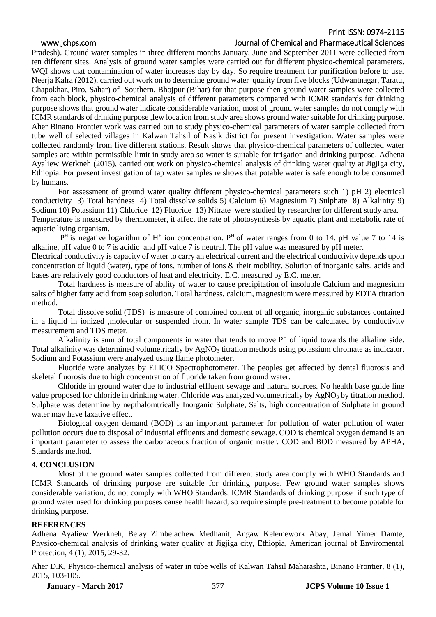# Print ISSN: 0974-2115

# www.jchps.com Journal of Chemical and Pharmaceutical Sciences

Pradesh). Ground water samples in three different months January, June and September 2011 were collected from ten different sites. Analysis of ground water samples were carried out for different physico-chemical parameters. WOI shows that contamination of water increases day by day. So require treatment for purification before to use. Neerja Kalra (2012), carried out work on to determine ground water quality from five blocks (Udwantnagar, Taratu, Chapokhar, Piro, Sahar) of Southern, Bhojpur (Bihar) for that purpose then ground water samples were collected from each block, physico-chemical analysis of different parameters compared with ICMR standards for drinking purpose shows that ground water indicate considerable variation, most of ground water samples do not comply with ICMR standards of drinking purpose ,few location from study area shows ground water suitable for drinking purpose. Aher Binano Frontier work was carried out to study physico-chemical parameters of water sample collected from tube well of selected villages in Kalwan Tahsil of Nasik district for present investigation. Water samples were collected randomly from five different stations. Result shows that physico-chemical parameters of collected water samples are within permissible limit in study area so water is suitable for irrigation and drinking purpose. Adhena Ayaliew Werkneh (2015), carried out work on physico-chemical analysis of drinking water quality at Jigjiga city, Ethiopia. For present investigation of tap water samples re shows that potable water is safe enough to be consumed by humans.

For assessment of ground water quality different physico-chemical parameters such 1) pH 2) electrical conductivity 3) Total hardness 4) Total dissolve solids 5) Calcium 6) Magnesium 7) Sulphate 8) Alkalinity 9) Sodium 10) Potassium 11) Chloride 12) Fluoride 13) Nitrate were studied by researcher for different study area. Temperature is measured by thermometer, it affect the rate of photosynthesis by aquatic plant and metabolic rate of aquatic living organism.

 $P<sup>H</sup>$  is negative logarithm of H<sup>+</sup> ion concentration.  $P<sup>H</sup>$  of water ranges from 0 to 14. pH value 7 to 14 is alkaline, pH value 0 to 7 is acidic and pH value 7 is neutral. The pH value was measured by pH meter.

Electrical conductivity is capacity of water to carry an electrical current and the electrical conductivity depends upon concentration of liquid (water), type of ions, number of ions & their mobility. Solution of inorganic salts, acids and bases are relatively good conductors of heat and electricity. E.C. measured by E.C. meter.

Total hardness is measure of ability of water to cause precipitation of insoluble Calcium and magnesium salts of higher fatty acid from soap solution. Total hardness, calcium, magnesium were measured by EDTA titration method.

Total dissolve solid (TDS) is measure of combined content of all organic, inorganic substances contained in a liquid in ionized ,molecular or suspended from. In water sample TDS can be calculated by conductivity measurement and TDS meter.

Alkalinity is sum of total components in water that tends to move  $P<sup>H</sup>$  of liquid towards the alkaline side. Total alkalinity was determined volumetrically by  $AgNO<sub>3</sub>$  titration methods using potassium chromate as indicator. Sodium and Potassium were analyzed using flame photometer.

Fluoride were analyzes by ELICO Spectrophotometer. The peoples get affected by dental fluorosis and skeletal fluorosis due to high concentration of fluoride taken from ground water.

Chloride in ground water due to industrial effluent sewage and natural sources. No health base guide line value proposed for chloride in drinking water. Chloride was analyzed volumetrically by AgNO<sub>3</sub> by titration method. Sulphate was determine by nepthalomtrically Inorganic Sulphate, Salts, high concentration of Sulphate in ground water may have laxative effect.

Biological oxygen demand (BOD) is an important parameter for pollution of water pollution of water pollution occurs due to disposal of industrial effluents and domestic sewage. COD is chemical oxygen demand is an important parameter to assess the carbonaceous fraction of organic matter. COD and BOD measured by APHA, Standards method.

# **4. CONCLUSION**

Most of the ground water samples collected from different study area comply with WHO Standards and ICMR Standards of drinking purpose are suitable for drinking purpose. Few ground water samples shows considerable variation, do not comply with WHO Standards, ICMR Standards of drinking purpose if such type of ground water used for drinking purposes cause health hazard, so require simple pre-treatment to become potable for drinking purpose.

## **REFERENCES**

Adhena Ayaliew Werkneh, Belay Zimbelachew Medhanit, Angaw Kelemework Abay, Jemal Yimer Damte, Physico-chemical analysis of drinking water quality at Jigjiga city, Ethiopia, American journal of Enviromental Protection, 4 (1), 2015, 29-32.

Aher D.K, Physico-chemical analysis of water in tube wells of Kalwan Tahsil Maharashta, Binano Frontier, 8 (1), 2015, 103-105.